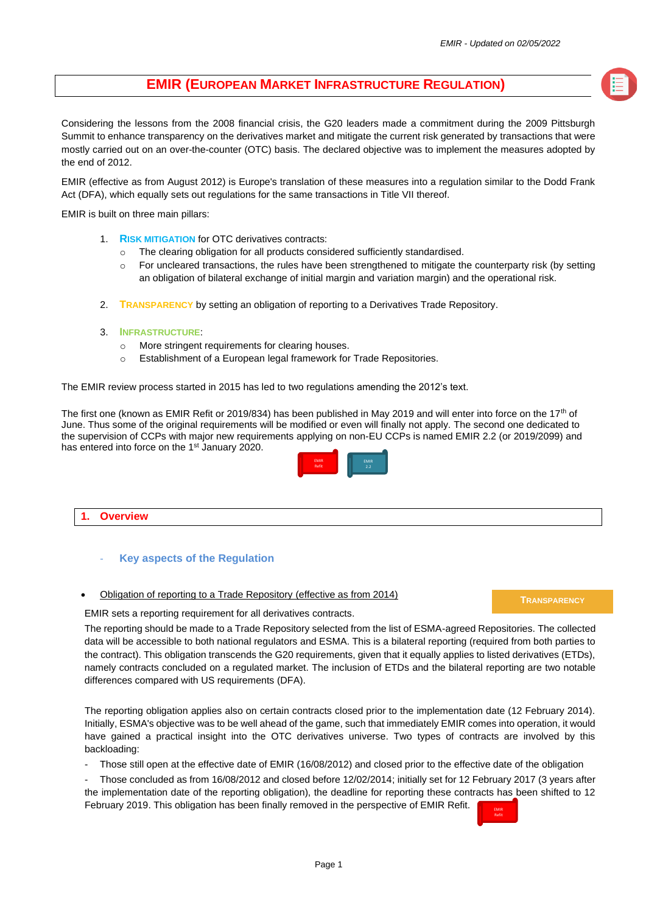# **EMIR (EUROPEAN MARKET INFRASTRUCTURE REGULATION)**

Considering the lessons from the 2008 financial crisis, the G20 leaders made a commitment during the 2009 Pittsburgh Summit to enhance transparency on the derivatives market and mitigate the current risk generated by transactions that were mostly carried out on an over-the-counter (OTC) basis. The declared objective was to implement the measures adopted by the end of 2012.

EMIR (effective as from August 2012) is Europe's translation of these measures into a regulation similar to the Dodd Frank Act (DFA), which equally sets out regulations for the same transactions in Title VII thereof.

EMIR is built on three main pillars:

- 1. **RISK MITIGATION** for OTC derivatives contracts:
	- The clearing obligation for all products considered sufficiently standardised.
	- o For uncleared transactions, the rules have been strengthened to mitigate the counterparty risk (by setting an obligation of bilateral exchange of initial margin and variation margin) and the operational risk.
- 2. **TRANSPARENCY** by setting an obligation of reporting to a Derivatives Trade Repository.
- 3. **INFRASTRUCTURE**:
	- o More stringent requirements for clearing houses.
	- o Establishment of a European legal framework for Trade Repositories.

The EMIR review process started in 2015 has led to two regulations amending the 2012's text.

The first one (known as EMIR Refit or 2019/834) has been published in May 2019 and will enter into force on the 17<sup>th</sup> of June. Thus some of the original requirements will be modified or even will finally not apply. The second one dedicated to the supervision of CCPs with major new requirements applying on non-EU CCPs is named EMIR 2.2 (or 2019/2099) and has entered into force on the 1<sup>st</sup> January 2020.



## **1. Overview**

## **Key aspects of the Regulation**

• Obligation of reporting to a Trade Repository (effective as from 2014)

#### **TRANSPARENCY**

EMIR sets a reporting requirement for all derivatives contracts.

The reporting should be made to a Trade Repository selected from the list of ESMA-agreed Repositories. The collected data will be accessible to both national regulators and ESMA. This is a bilateral reporting (required from both parties to the contract). This obligation transcends the G20 requirements, given that it equally applies to listed derivatives (ETDs), namely contracts concluded on a regulated market. The inclusion of ETDs and the bilateral reporting are two notable differences compared with US requirements (DFA).

The reporting obligation applies also on certain contracts closed prior to the implementation date (12 February 2014). Initially, ESMA's objective was to be well ahead of the game, such that immediately EMIR comes into operation, it would have gained a practical insight into the OTC derivatives universe. Two types of contracts are involved by this backloading:

Those still open at the effective date of EMIR (16/08/2012) and closed prior to the effective date of the obligation

- Those concluded as from 16/08/2012 and closed before 12/02/2014; initially set for 12 February 2017 (3 years after the implementation date of the reporting obligation), the deadline for reporting these contracts has been shifted to 12 February 2019. This obligation has been finally removed in the perspective of EMIR Refit.

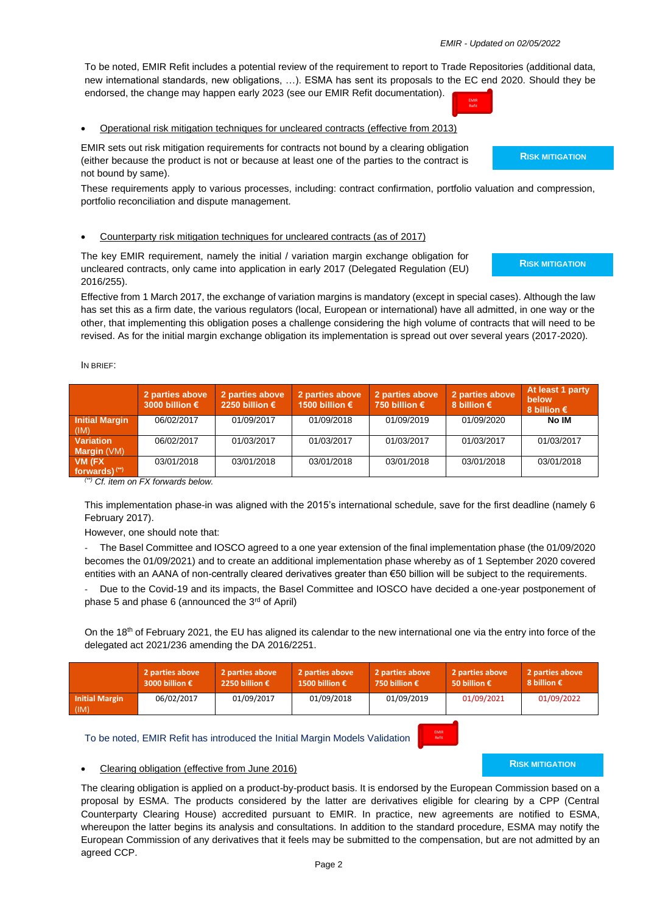To be noted, EMIR Refit includes a potential review of the requirement to report to Trade Repositories (additional data, new international standards, new obligations, …). ESMA has sent its proposals to the EC end 2020. Should they be endorsed, the change may happen early 2023 (see our EMIR Refit documentation).

• Operational risk mitigation techniques for uncleared contracts (effective from 2013)

EMIR sets out risk mitigation requirements for contracts not bound by a clearing obligation (either because the product is not or because at least one of the parties to the contract is not bound by same).

These requirements apply to various processes, including: contract confirmation, portfolio valuation and compression, portfolio reconciliation and dispute management.

#### • Counterparty risk mitigation techniques for uncleared contracts (as of 2017)

The key EMIR requirement, namely the initial / variation margin exchange obligation for uncleared contracts, only came into application in early 2017 (Delegated Regulation (EU) 2016/255).

Effective from 1 March 2017, the exchange of variation margins is mandatory (except in special cases). Although the law has set this as a firm date, the various regulators (local, European or international) have all admitted, in one way or the other, that implementing this obligation poses a challenge considering the high volume of contracts that will need to be revised. As for the initial margin exchange obligation its implementation is spread out over several years (2017-2020).

IN BRIEF:

|                               | 2 parties above<br>3000 billion $\epsilon$ | 2 parties above<br>2250 billion € | 2 parties above<br>1500 billion € | 2 parties above<br>750 billion $\epsilon$ | 2 parties above<br>8 billion $\epsilon$ | At least 1 party<br>below<br>8 billion $\epsilon$ |
|-------------------------------|--------------------------------------------|-----------------------------------|-----------------------------------|-------------------------------------------|-----------------------------------------|---------------------------------------------------|
| <b>Initial Margin</b><br>(IM) | 06/02/2017                                 | 01/09/2017                        | 01/09/2018                        | 01/09/2019                                | 01/09/2020                              | No IM                                             |
| <b>Variation</b>              | 06/02/2017                                 | 01/03/2017                        | 01/03/2017                        | 01/03/2017                                | 01/03/2017                              | 01/03/2017                                        |
| <b>Margin</b> $(VM)$          |                                            |                                   |                                   |                                           |                                         |                                                   |
| VM (FX                        | 03/01/2018                                 | 03/01/2018                        | 03/01/2018                        | 03/01/2018                                | 03/01/2018                              | 03/01/2018                                        |
| forwards) <sup>(**)</sup>     |                                            |                                   |                                   |                                           |                                         |                                                   |

*(\*\*) Cf. item on FX forwards below.*

This implementation phase-in was aligned with the 2015's international schedule, save for the first deadline (namely 6 February 2017).

However, one should note that:

- The Basel Committee and IOSCO agreed to a one year extension of the final implementation phase (the 01/09/2020 becomes the 01/09/2021) and to create an additional implementation phase whereby as of 1 September 2020 covered entities with an AANA of non-centrally cleared derivatives greater than €50 billion will be subject to the requirements.

Due to the Covid-19 and its impacts, the Basel Committee and IOSCO have decided a one-year postponement of phase 5 and phase 6 (announced the  $3<sup>rd</sup>$  of April)

On the 18<sup>th</sup> of February 2021, the EU has aligned its calendar to the new international one via the entry into force of the delegated act 2021/236 amending the DA 2016/2251.

|                               | 2 parties above<br>3000 billion $\epsilon$ | 2 parties above<br>2250 billion € | 2 parties above<br>1500 billion € | 2 parties above<br>750 billion $\epsilon$ | 2 parties above<br>50 billion € | 2 parties above<br>8 billion $\epsilon$ |
|-------------------------------|--------------------------------------------|-----------------------------------|-----------------------------------|-------------------------------------------|---------------------------------|-----------------------------------------|
| <b>Initial Margin</b><br>(IM) | 06/02/2017                                 | 01/09/2017                        | 01/09/2018                        | 01/09/2019                                | 01/09/2021                      | 01/09/2022                              |
|                               |                                            |                                   |                                   |                                           |                                 |                                         |

To be noted, EMIR Refit has introduced the Initial Margin Models Validation

Clearing obligation (effective from June 2016)

**RISK MITIGATION**

The clearing obligation is applied on a product-by-product basis. It is endorsed by the European Commission based on a proposal by ESMA. The products considered by the latter are derivatives eligible for clearing by a CPP (Central Counterparty Clearing House) accredited pursuant to EMIR. In practice, new agreements are notified to ESMA, whereupon the latter begins its analysis and consultations. In addition to the standard procedure, ESMA may notify the European Commission of any derivatives that it feels may be submitted to the compensation, but are not admitted by an agreed CCP.

# EMIR

**RISK MITIGATION**

**RISK MITIGATION**

EMIR Refit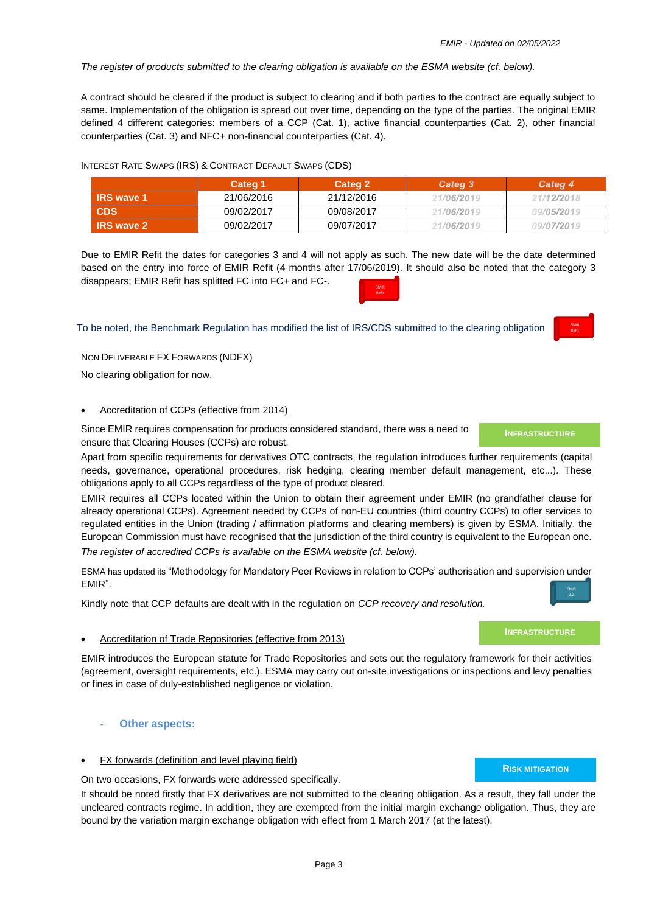Categ 3

21/06/2019

21/06/2019

*The register of products submitted to the clearing obligation is available on the ESMA website (cf. below).*

**Categ 1 Categ 2**

A contract should be cleared if the product is subject to clearing and if both parties to the contract are equally subject to same. Implementation of the obligation is spread out over time, depending on the type of the parties. The original EMIR defined 4 different categories: members of a CCP (Cat. 1), active financial counterparties (Cat. 2), other financial counterparties (Cat. 3) and NFC+ non-financial counterparties (Cat. 4).

INTEREST RATE SWAPS (IRS) & CONTRACT DEFAULT SWAPS (CDS)

**IRS wave 1** 21/06/2016 21/12/2016 **CDS** 09/02/2017 09/08/2017

| <b>IRS</b> wave 2 | 09/02/2017 | 09/07/2017                                                                                                          | 21/06/2019 | 09/07/2019 |
|-------------------|------------|---------------------------------------------------------------------------------------------------------------------|------------|------------|
|                   |            |                                                                                                                     |            |            |
|                   |            | Due to EMIR Refit the dates for categories 3 and 4 will not apply as such. The new date will be the date determined |            |            |

based on the entry into force of EMIR Refit (4 months after 17/06/2019). It should also be noted that the category 3 disappears; EMIR Refit has splitted FC into FC+ and FC-.

To be noted, the Benchmark Regulation has modified the list of IRS/CDS submitted to the clearing obligation

NON DELIVERABLE FX FORWARDS (NDFX)

No clearing obligation for now.

# • Accreditation of CCPs (effective from 2014)

Since EMIR requires compensation for products considered standard, there was a need to ensure that Clearing Houses (CCPs) are robust.

Apart from specific requirements for derivatives OTC contracts, the regulation introduces further requirements (capital needs, governance, operational procedures, risk hedging, clearing member default management, etc...). These obligations apply to all CCPs regardless of the type of product cleared.

EMIR requires all CCPs located within the Union to obtain their agreement under EMIR (no grandfather clause for already operational CCPs). Agreement needed by CCPs of non-EU countries (third country CCPs) to offer services to regulated entities in the Union (trading / affirmation platforms and clearing members) is given by ESMA. Initially, the European Commission must have recognised that the jurisdiction of the third country is equivalent to the European one. *The register of accredited CCPs is available on the ESMA website (cf. below).*

ESMA has updated its "Methodology for Mandatory Peer Reviews in relation to CCPs' authorisation and supervision under EMIR".

Kindly note that CCP defaults are dealt with in the regulation on *CCP recovery and resolution.*

# • Accreditation of Trade Repositories (effective from 2013)

EMIR introduces the European statute for Trade Repositories and sets out the regulatory framework for their activities (agreement, oversight requirements, etc.). ESMA may carry out on-site investigations or inspections and levy penalties or fines in case of duly-established negligence or violation.

# **Other aspects:**

# FX forwards (definition and level playing field)

On two occasions, FX forwards were addressed specifically.

It should be noted firstly that FX derivatives are not submitted to the clearing obligation. As a result, they fall under the uncleared contracts regime. In addition, they are exempted from the initial margin exchange obligation. Thus, they are bound by the variation margin exchange obligation with effect from 1 March 2017 (at the latest).

Refit

Categ 4

21/12/2018

09/05/2019

2.2

**INFRASTRUCTURE**



**RISK MITIGATION**



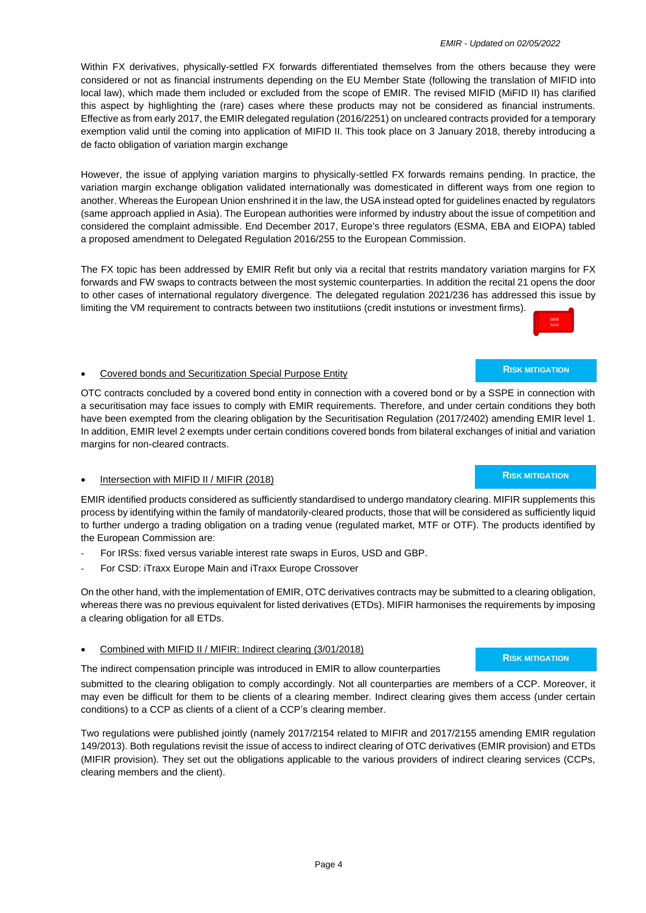Within FX derivatives, physically-settled FX forwards differentiated themselves from the others because they were considered or not as financial instruments depending on the EU Member State (following the translation of MIFID into local law), which made them included or excluded from the scope of EMIR. The revised MIFID (MiFID II) has clarified this aspect by highlighting the (rare) cases where these products may not be considered as financial instruments. Effective as from early 2017, the EMIR delegated regulation (2016/2251) on uncleared contracts provided for a temporary exemption valid until the coming into application of MIFID II. This took place on 3 January 2018, thereby introducing a de facto obligation of variation margin exchange

However, the issue of applying variation margins to physically-settled FX forwards remains pending. In practice, the variation margin exchange obligation validated internationally was domesticated in different ways from one region to another. Whereas the European Union enshrined it in the law, the USA instead opted for guidelines enacted by regulators (same approach applied in Asia). The European authorities were informed by industry about the issue of competition and considered the complaint admissible. End December 2017, Europe's three regulators (ESMA, EBA and EIOPA) tabled a proposed amendment to Delegated Regulation 2016/255 to the European Commission.

The FX topic has been addressed by EMIR Refit but only via a recital that restrits mandatory variation margins for FX forwards and FW swaps to contracts between the most systemic counterparties. In addition the recital 21 opens the door to other cases of international regulatory divergence. The delegated regulation 2021/236 has addressed this issue by limiting the VM requirement to contracts between two institutiions (credit instutions or investment firms).

OTC contracts concluded by a covered bond entity in connection with a covered bond or by a SSPE in connection with a securitisation may face issues to comply with EMIR requirements. Therefore, and under certain conditions they both have been exempted from the clearing obligation by the Securitisation Regulation (2017/2402) amending EMIR level 1. In addition, EMIR level 2 exempts under certain conditions covered bonds from bilateral exchanges of initial and variation margins for non-cleared contracts.

## • Intersection with MIFID II / MIFIR (2018)

EMIR identified products considered as sufficiently standardised to undergo mandatory clearing. MIFIR supplements this process by identifying within the family of mandatorily-cleared products, those that will be considered as sufficiently liquid to further undergo a trading obligation on a trading venue (regulated market, MTF or OTF). The products identified by the European Commission are:

- For IRSs: fixed versus variable interest rate swaps in Euros, USD and GBP.
- For CSD: iTraxx Europe Main and iTraxx Europe Crossover

• Covered bonds and Securitization Special Purpose Entity

On the other hand, with the implementation of EMIR, OTC derivatives contracts may be submitted to a clearing obligation, whereas there was no previous equivalent for listed derivatives (ETDs). MIFIR harmonises the requirements by imposing a clearing obligation for all ETDs.

## • Combined with MIFID II / MIFIR: Indirect clearing (3/01/2018)

The indirect compensation principle was introduced in EMIR to allow counterparties

submitted to the clearing obligation to comply accordingly. Not all counterparties are members of a CCP. Moreover, it may even be difficult for them to be clients of a clearing member. Indirect clearing gives them access (under certain conditions) to a CCP as clients of a client of a CCP's clearing member.

Two regulations were published jointly (namely 2017/2154 related to MIFIR and 2017/2155 amending EMIR regulation 149/2013). Both regulations revisit the issue of access to indirect clearing of OTC derivatives (EMIR provision) and ETDs (MIFIR provision). They set out the obligations applicable to the various providers of indirect clearing services (CCPs, clearing members and the client).

#### **RISK MITIGATION**

**RISK MITIGATION**

## **RISK MITIGATION**

# Refit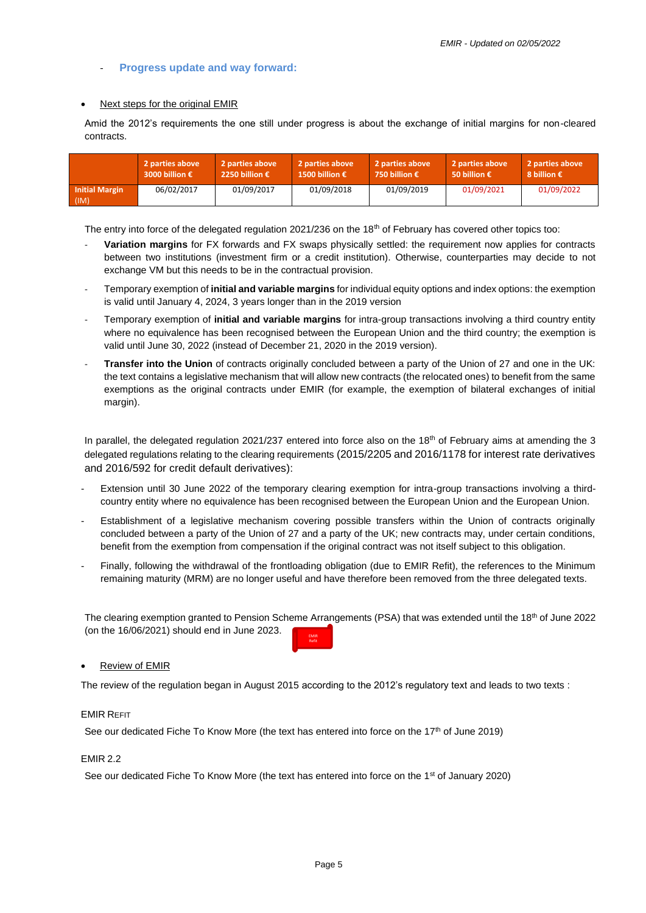## - **Progress update and way forward:**

#### • Next steps for the original EMIR

Amid the 2012's requirements the one still under progress is about the exchange of initial margins for non-cleared contracts.

|                               | 2 parties above | 2 parties above | 2 parties above | 2 parties above        | 2 parties above | 2 parties above |
|-------------------------------|-----------------|-----------------|-----------------|------------------------|-----------------|-----------------|
|                               | 3000 billion €  | 2250 billion €  | 1500 billion €  | 750 billion $\epsilon$ | 50 billion €    | 8 billion €     |
| <b>Initial Margin</b><br>(IM) | 06/02/2017      | 01/09/2017      | 01/09/2018      | 01/09/2019             | 01/09/2021      | 01/09/2022      |

The entry into force of the delegated regulation 2021/236 on the 18<sup>th</sup> of February has covered other topics too:

- **Variation margins** for FX forwards and FX swaps physically settled: the requirement now applies for contracts between two institutions (investment firm or a credit institution). Otherwise, counterparties may decide to not exchange VM but this needs to be in the contractual provision.
- Temporary exemption of **initial and variable margins** for individual equity options and index options: the exemption is valid until January 4, 2024, 3 years longer than in the 2019 version
- Temporary exemption of **initial and variable margins** for intra-group transactions involving a third country entity where no equivalence has been recognised between the European Union and the third country; the exemption is valid until June 30, 2022 (instead of December 21, 2020 in the 2019 version).
- **Transfer into the Union** of contracts originally concluded between a party of the Union of 27 and one in the UK: the text contains a legislative mechanism that will allow new contracts (the relocated ones) to benefit from the same exemptions as the original contracts under EMIR (for example, the exemption of bilateral exchanges of initial margin).

In parallel, the delegated regulation 2021/237 entered into force also on the 18<sup>th</sup> of February aims at amending the 3 delegated regulations relating to the clearing requirements (2015/2205 and 2016/1178 for interest rate derivatives and 2016/592 for credit default derivatives):

- Extension until 30 June 2022 of the temporary clearing exemption for intra-group transactions involving a thirdcountry entity where no equivalence has been recognised between the European Union and the European Union.
- Establishment of a legislative mechanism covering possible transfers within the Union of contracts originally concluded between a party of the Union of 27 and a party of the UK; new contracts may, under certain conditions, benefit from the exemption from compensation if the original contract was not itself subject to this obligation.
- Finally, following the withdrawal of the frontloading obligation (due to EMIR Refit), the references to the Minimum remaining maturity (MRM) are no longer useful and have therefore been removed from the three delegated texts.

The clearing exemption granted to Pension Scheme Arrangements (PSA) that was extended until the 18<sup>th</sup> of June 2022 (on the 16/06/2021) should end in June 2023. EMIR

#### • Review of EMIR

The review of the regulation began in August 2015 according to the 2012's regulatory text and leads to two texts :

Refit

#### EMIR REFIT

See our dedicated Fiche To Know More (the text has entered into force on the  $17<sup>th</sup>$  of June 2019)

#### EMIR 2.2

See our dedicated Fiche To Know More (the text has entered into force on the 1<sup>st</sup> of January 2020)